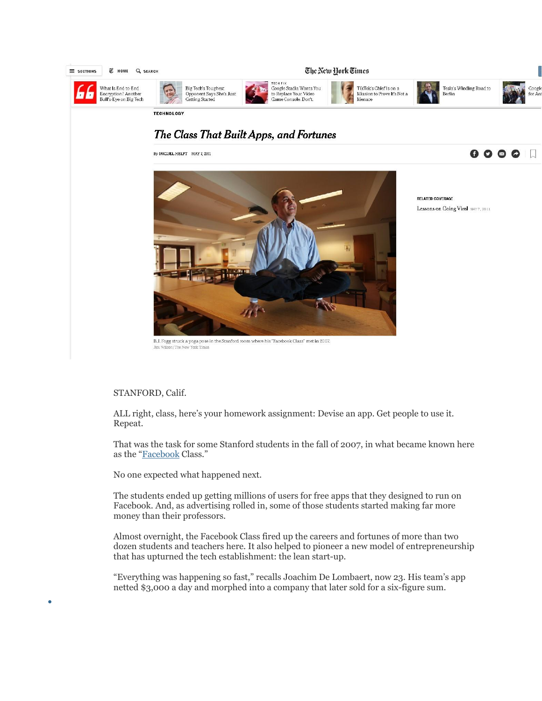

## The Class That Built Apps, and Fortunes

By MIGUEL HELFT MAY 7, 2011



**RELATED COVERAGE** Lessons on Going Viral MAY 7, 2011  $\mathbb{Z}$ 

 $0000$ 

B.J. Fogg struck a yoga pose in the Stanford room where his 'Facebook Class'' met in 2007.

## STANFORD, Calif.

•

ALL right, class, here's your homework assignment: Devise an app. Get people to use it. Repeat.

That was the task for some Stanford students in the fall of 2007, in what became known here as the "[Facebook](http://topics.nytimes.com/top/news/business/companies/facebook_inc/index.html?inline=nyt-org) Class."

No one expected what happened next.

The students ended up getting millions of users for free apps that they designed to run on Facebook. And, as advertising rolled in, some of those students started making far more money than their professors.

Almost overnight, the Facebook Class fired up the careers and fortunes of more than two dozen students and teachers here. It also helped to pioneer a new model of entrepreneurship that has upturned the tech establishment: the lean start-up.

"Everything was happening so fast," recalls Joachim De Lombaert, now 23. His team's app netted \$3,000 a day and morphed into a company that later sold for a six-figure sum.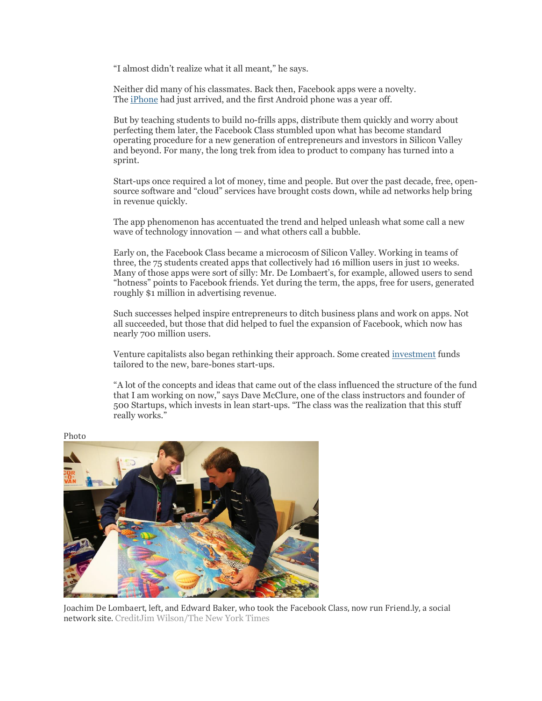"I almost didn't realize what it all meant," he says.

Neither did many of his classmates. Back then, Facebook apps were a novelty. The [iPhone](http://topics.nytimes.com/top/reference/timestopics/subjects/i/iphone/index.html?inline=nyt-classifier) had just arrived, and the first Android phone was a year off.

But by teaching students to build no-frills apps, distribute them quickly and worry about perfecting them later, the Facebook Class stumbled upon what has become standard operating procedure for a new generation of entrepreneurs and investors in Silicon Valley and beyond. For many, the long trek from idea to product to company has turned into a sprint.

Start-ups once required a lot of money, time and people. But over the past decade, free, opensource software and "cloud" services have brought costs down, while ad networks help bring in revenue quickly.

The app phenomenon has accentuated the trend and helped unleash what some call a new wave of technology innovation — and what others call a bubble.

Early on, the Facebook Class became a microcosm of Silicon Valley. Working in teams of three, the 75 students created apps that collectively had 16 million users in just 10 weeks. Many of those apps were sort of silly: Mr. De Lombaert's, for example, allowed users to send "hotness" points to Facebook friends. Yet during the term, the apps, free for users, generated roughly \$1 million in advertising revenue.

Such successes helped inspire entrepreneurs to ditch business plans and work on apps. Not all succeeded, but those that did helped to fuel the expansion of Facebook, which now has nearly 700 million users.

Venture capitalists also began rethinking their approach. Some created [investment](http://topics.nytimes.com/your-money/investments/index.html?inline=nyt-classifier) funds tailored to the new, bare-bones start-ups.

"A lot of the concepts and ideas that came out of the class influenced the structure of the fund that I am working on now," says Dave McClure, one of the class instructors and founder of 500 Startups, which invests in lean start-ups. "The class was the realization that this stuff really works."

Photo



Joachim De Lombaert, left, and Edward Baker, who took the Facebook Class, now run Friend.ly, a social network site. CreditJim Wilson/The New York Times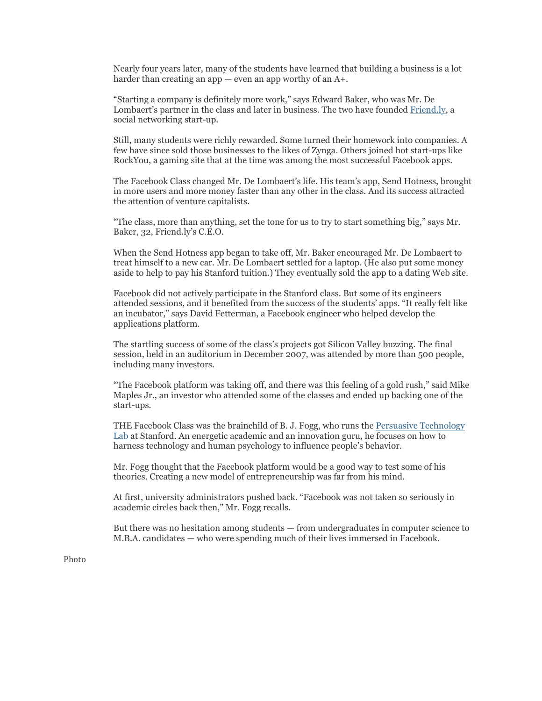Nearly four years later, many of the students have learned that building a business is a lot harder than creating an app — even an app worthy of an A+.

"Starting a company is definitely more work," says Edward Baker, who was Mr. De Lombaert's partner in the class and later in business. The two have founded [Friend.ly,](http://friend.ly/) a social networking start-up.

Still, many students were richly rewarded. Some turned their homework into companies. A few have since sold those businesses to the likes of Zynga. Others joined hot start-ups like RockYou, a gaming site that at the time was among the most successful Facebook apps.

The Facebook Class changed Mr. De Lombaert's life. His team's app, Send Hotness, brought in more users and more money faster than any other in the class. And its success attracted the attention of venture capitalists.

"The class, more than anything, set the tone for us to try to start something big," says Mr. Baker, 32, Friend.ly's C.E.O.

When the Send Hotness app began to take off, Mr. Baker encouraged Mr. De Lombaert to treat himself to a new car. Mr. De Lombaert settled for a laptop. (He also put some money aside to help to pay his Stanford tuition.) They eventually sold the app to a dating Web site.

Facebook did not actively participate in the Stanford class. But some of its engineers attended sessions, and it benefited from the success of the students' apps. "It really felt like an incubator," says David Fetterman, a Facebook engineer who helped develop the applications platform.

The startling success of some of the class's projects got Silicon Valley buzzing. The final session, held in an auditorium in December 2007, was attended by more than 500 people, including many investors.

"The Facebook platform was taking off, and there was this feeling of a gold rush," said Mike Maples Jr., an investor who attended some of the classes and ended up backing one of the start-ups.

THE Facebook Class was the brainchild of B. J. Fogg, who runs the [Persuasive Technology](http://captology.stanford.edu/)  [Lab](http://captology.stanford.edu/) at Stanford. An energetic academic and an innovation guru, he focuses on how to harness technology and human psychology to influence people's behavior.

Mr. Fogg thought that the Facebook platform would be a good way to test some of his theories. Creating a new model of entrepreneurship was far from his mind.

At first, university administrators pushed back. "Facebook was not taken so seriously in academic circles back then," Mr. Fogg recalls.

But there was no hesitation among students — from undergraduates in computer science to M.B.A. candidates — who were spending much of their lives immersed in Facebook.

Photo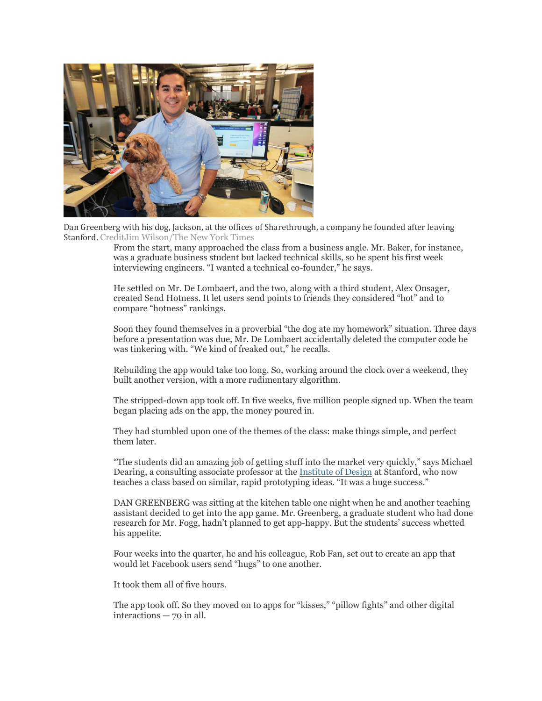

Dan Greenberg with his dog, Jackson, at the offices of Sharethrough, a company he founded after leaving Stanford. CreditJim Wilson/The New York Times

> From the start, many approached the class from a business angle. Mr. Baker, for instance, was a graduate business student but lacked technical skills, so he spent his first week interviewing engineers. "I wanted a technical co-founder," he says.

He settled on Mr. De Lombaert, and the two, along with a third student, Alex Onsager, created Send Hotness. It let users send points to friends they considered "hot" and to compare "hotness" rankings.

Soon they found themselves in a proverbial "the dog ate my homework" situation. Three days before a presentation was due, Mr. De Lombaert accidentally deleted the computer code he was tinkering with. "We kind of freaked out," he recalls.

Rebuilding the app would take too long. So, working around the clock over a weekend, they built another version, with a more rudimentary algorithm.

The stripped-down app took off. In five weeks, five million people signed up. When the team began placing ads on the app, the money poured in.

They had stumbled upon one of the themes of the class: make things simple, and perfect them later.

"The students did an amazing job of getting stuff into the market very quickly," says Michael Dearing, a consulting associate professor at the [Institute of Design](http://dschool.stanford.edu/index.php) at Stanford, who now teaches a class based on similar, rapid prototyping ideas. "It was a huge success."

DAN GREENBERG was sitting at the kitchen table one night when he and another teaching assistant decided to get into the app game. Mr. Greenberg, a graduate student who had done research for Mr. Fogg, hadn't planned to get app-happy. But the students' success whetted his appetite.

Four weeks into the quarter, he and his colleague, Rob Fan, set out to create an app that would let Facebook users send "hugs" to one another.

It took them all of five hours.

The app took off. So they moved on to apps for "kisses," "pillow fights" and other digital interactions — 70 in all.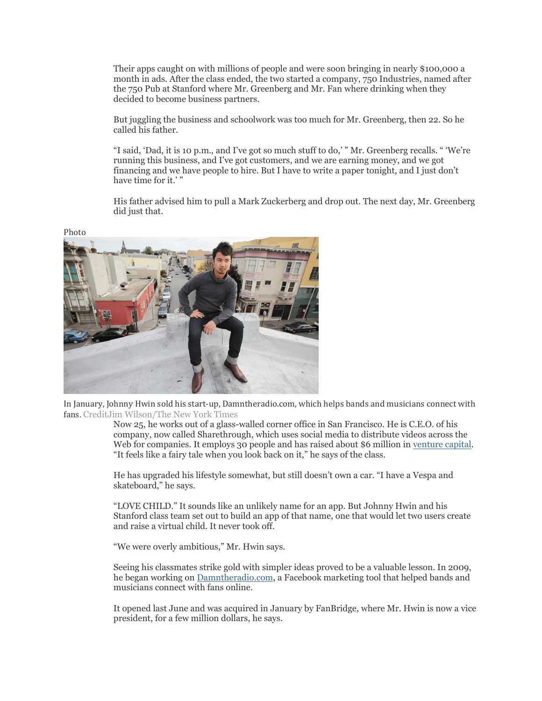Their apps caught on with millions of people and were soon bringing in nearly \$100,000 a month in ads. After the class ended, the two started a company, 750 Industries, named after the 750 Pub at Stanford where Mr. Greenberg and Mr. Fan where drinking when they decided to become business partners.

But juggling the business and schoolwork was too much for Mr. Greenberg, then 22. So he called his father.

"I said, 'Dad, it is 10 p.m., and I've got so much stuff to do,' " Mr. Greenberg recalls. " 'We're running this business, and I've got customers, and we are earning money, and we got financing and we have people to hire. But I have to write a paper tonight, and I just don't have time for it.'"

His father advised him to pull a Mark Zuckerberg and drop out. The next day, Mr. Greenberg did just that.



In January, Johnny Hwin sold his start-up, Damntheradio.com, which helps bands and musicians connect with fans. CreditJim Wilson/The New York Times

Now 25, he works out of a glass-walled corner office in San Francisco. He is C.E.O. of his company, now called Sharethrough, which uses social media to distribute videos across the Web for companies. It employs 30 people and has raised about \$6 million in [venture capital.](http://topics.nytimes.com/topics/reference/timestopics/subjects/v/venture_capital/index.html?inline=nyt-classifier) "It feels like a fairy tale when you look back on it," he says of the class.

He has upgraded his lifestyle somewhat, but still doesn't own a car. "I have a Vespa and skateboard," he says.

"LOVE CHILD." It sounds like an unlikely name for an app. But Johnny Hwin and his Stanford class team set out to build an app of that name, one that would let two users create and raise a virtual child. It never took off.

"We were overly ambitious," Mr. Hwin says.

Seeing his classmates strike gold with simpler ideas proved to be a valuable lesson. In 2009, he began working on [Damntheradio.com,](http://damntheradio.com/) a Facebook marketing tool that helped bands and musicians connect with fans online.

It opened last June and was acquired in January by FanBridge, where Mr. Hwin is now a vice president, for a few million dollars, he says.

Photo